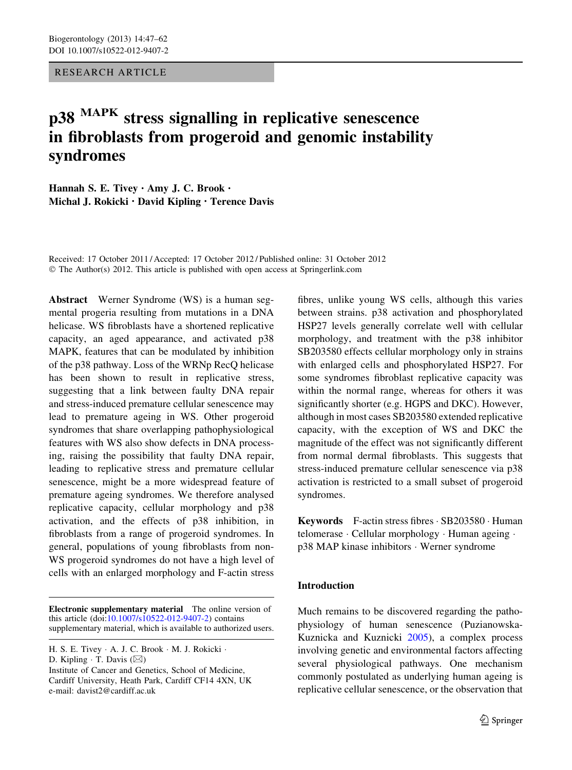RESEARCH ARTICLE

# p38 MAPK stress signalling in replicative senescence in fibroblasts from progeroid and genomic instability syndromes

Hannah S. E. Tivey • Amy J. C. Brook • Michal J. Rokicki • David Kipling • Terence Davis

Received: 17 October 2011 / Accepted: 17 October 2012 / Published online: 31 October 2012 © The Author(s) 2012. This article is published with open access at Springerlink.com

Abstract Werner Syndrome (WS) is a human segmental progeria resulting from mutations in a DNA helicase. WS fibroblasts have a shortened replicative capacity, an aged appearance, and activated p38 MAPK, features that can be modulated by inhibition of the p38 pathway. Loss of the WRNp RecQ helicase has been shown to result in replicative stress, suggesting that a link between faulty DNA repair and stress-induced premature cellular senescence may lead to premature ageing in WS. Other progeroid syndromes that share overlapping pathophysiological features with WS also show defects in DNA processing, raising the possibility that faulty DNA repair, leading to replicative stress and premature cellular senescence, might be a more widespread feature of premature ageing syndromes. We therefore analysed replicative capacity, cellular morphology and p38 activation, and the effects of p38 inhibition, in fibroblasts from a range of progeroid syndromes. In general, populations of young fibroblasts from non-WS progeroid syndromes do not have a high level of cells with an enlarged morphology and F-actin stress

D. Kipling  $\cdot$  T. Davis ( $\boxtimes$ )

Institute of Cancer and Genetics, School of Medicine, Cardiff University, Heath Park, Cardiff CF14 4XN, UK e-mail: davist2@cardiff.ac.uk

fibres, unlike young WS cells, although this varies between strains. p38 activation and phosphorylated HSP27 levels generally correlate well with cellular morphology, and treatment with the p38 inhibitor SB203580 effects cellular morphology only in strains with enlarged cells and phosphorylated HSP27. For some syndromes fibroblast replicative capacity was within the normal range, whereas for others it was significantly shorter (e.g. HGPS and DKC). However, although in most cases SB203580 extended replicative capacity, with the exception of WS and DKC the magnitude of the effect was not significantly different from normal dermal fibroblasts. This suggests that stress-induced premature cellular senescence via p38 activation is restricted to a small subset of progeroid syndromes.

Keywords F-actin stress fibres · SB203580 · Human telomerase · Cellular morphology · Human ageing · p38 MAP kinase inhibitors - Werner syndrome

# Introduction

Much remains to be discovered regarding the pathophysiology of human senescence (Puzianowska-Kuznicka and Kuznicki [2005\)](#page-14-0), a complex process involving genetic and environmental factors affecting several physiological pathways. One mechanism commonly postulated as underlying human ageing is replicative cellular senescence, or the observation that

Electronic supplementary material The online version of this article (doi[:10.1007/s10522-012-9407-2\)](http://dx.doi.org/10.1007/s10522-012-9407-2) contains supplementary material, which is available to authorized users.

H. S. E. Tivey - A. J. C. Brook - M. J. Rokicki -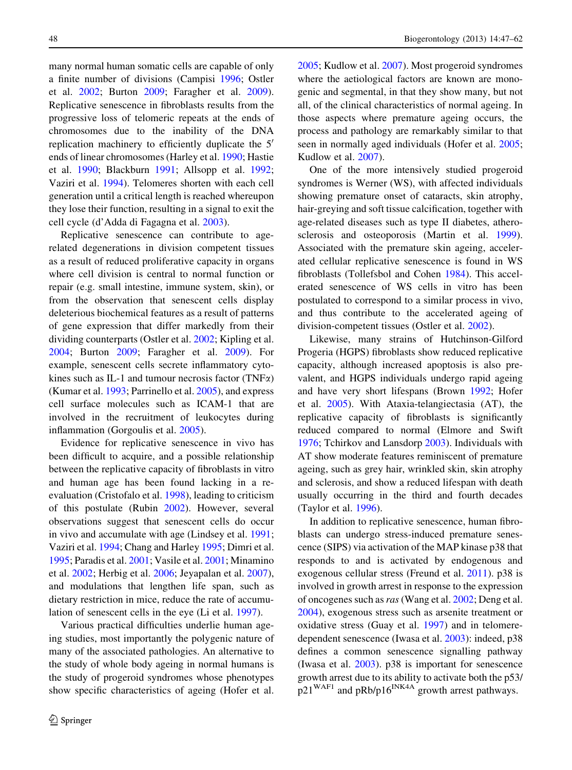many normal human somatic cells are capable of only a finite number of divisions (Campisi [1996](#page-13-0); Ostler et al. [2002](#page-14-0); Burton [2009;](#page-13-0) Faragher et al. [2009](#page-13-0)). Replicative senescence in fibroblasts results from the progressive loss of telomeric repeats at the ends of chromosomes due to the inability of the DNA replication machinery to efficiently duplicate the  $5<sup>′</sup>$ ends of linear chromosomes (Harley et al. [1990;](#page-13-0) Hastie et al. [1990;](#page-13-0) Blackburn [1991](#page-13-0); Allsopp et al. [1992](#page-12-0); Vaziri et al. [1994](#page-14-0)). Telomeres shorten with each cell generation until a critical length is reached whereupon they lose their function, resulting in a signal to exit the cell cycle (d'Adda di Fagagna et al. [2003](#page-13-0)).

Replicative senescence can contribute to agerelated degenerations in division competent tissues as a result of reduced proliferative capacity in organs where cell division is central to normal function or repair (e.g. small intestine, immune system, skin), or from the observation that senescent cells display deleterious biochemical features as a result of patterns of gene expression that differ markedly from their dividing counterparts (Ostler et al. [2002](#page-14-0); Kipling et al. [2004;](#page-14-0) Burton [2009;](#page-13-0) Faragher et al. [2009](#page-13-0)). For example, senescent cells secrete inflammatory cytokines such as IL-1 and tumour necrosis factor (TNF $\alpha$ ) (Kumar et al. [1993;](#page-14-0) Parrinello et al. [2005](#page-14-0)), and express cell surface molecules such as ICAM-1 that are involved in the recruitment of leukocytes during inflammation (Gorgoulis et al. [2005\)](#page-13-0).

Evidence for replicative senescence in vivo has been difficult to acquire, and a possible relationship between the replicative capacity of fibroblasts in vitro and human age has been found lacking in a reevaluation (Cristofalo et al. [1998\)](#page-13-0), leading to criticism of this postulate (Rubin [2002](#page-14-0)). However, several observations suggest that senescent cells do occur in vivo and accumulate with age (Lindsey et al. [1991](#page-14-0); Vaziri et al. [1994;](#page-14-0) Chang and Harley [1995;](#page-13-0) Dimri et al. [1995;](#page-13-0) Paradis et al. [2001](#page-14-0); Vasile et al. [2001;](#page-14-0) Minamino et al. [2002;](#page-14-0) Herbig et al. [2006;](#page-13-0) Jeyapalan et al. [2007](#page-14-0)), and modulations that lengthen life span, such as dietary restriction in mice, reduce the rate of accumulation of senescent cells in the eye (Li et al. [1997\)](#page-14-0).

Various practical difficulties underlie human ageing studies, most importantly the polygenic nature of many of the associated pathologies. An alternative to the study of whole body ageing in normal humans is the study of progeroid syndromes whose phenotypes show specific characteristics of ageing (Hofer et al. [2005;](#page-13-0) Kudlow et al. [2007](#page-14-0)). Most progeroid syndromes where the aetiological factors are known are monogenic and segmental, in that they show many, but not all, of the clinical characteristics of normal ageing. In those aspects where premature ageing occurs, the process and pathology are remarkably similar to that seen in normally aged individuals (Hofer et al. [2005](#page-13-0); Kudlow et al. [2007](#page-14-0)).

One of the more intensively studied progeroid syndromes is Werner (WS), with affected individuals showing premature onset of cataracts, skin atrophy, hair-greying and soft tissue calcification, together with age-related diseases such as type II diabetes, atherosclerosis and osteoporosis (Martin et al. [1999](#page-14-0)). Associated with the premature skin ageing, accelerated cellular replicative senescence is found in WS fibroblasts (Tollefsbol and Cohen [1984\)](#page-14-0). This accelerated senescence of WS cells in vitro has been postulated to correspond to a similar process in vivo, and thus contribute to the accelerated ageing of division-competent tissues (Ostler et al. [2002\)](#page-14-0).

Likewise, many strains of Hutchinson-Gilford Progeria (HGPS) fibroblasts show reduced replicative capacity, although increased apoptosis is also prevalent, and HGPS individuals undergo rapid ageing and have very short lifespans (Brown [1992;](#page-13-0) Hofer et al. [2005\)](#page-13-0). With Ataxia-telangiectasia (AT), the replicative capacity of fibroblasts is significantly reduced compared to normal (Elmore and Swift [1976;](#page-13-0) Tchirkov and Lansdorp [2003\)](#page-14-0). Individuals with AT show moderate features reminiscent of premature ageing, such as grey hair, wrinkled skin, skin atrophy and sclerosis, and show a reduced lifespan with death usually occurring in the third and fourth decades (Taylor et al. [1996](#page-14-0)).

In addition to replicative senescence, human fibroblasts can undergo stress-induced premature senescence (SIPS) via activation of the MAP kinase p38 that responds to and is activated by endogenous and exogenous cellular stress (Freund et al. [2011\)](#page-13-0). p38 is involved in growth arrest in response to the expression of oncogenes such as ras (Wang et al. [2002](#page-14-0); Deng et al. [2004\)](#page-13-0), exogenous stress such as arsenite treatment or oxidative stress (Guay et al. [1997](#page-13-0)) and in telomeredependent senescence (Iwasa et al. [2003](#page-14-0)): indeed, p38 defines a common senescence signalling pathway (Iwasa et al. [2003](#page-14-0)). p38 is important for senescence growth arrest due to its ability to activate both the p53/  $p21^{WAF1}$  and  $pRb/p16^{INK4A}$  growth arrest pathways.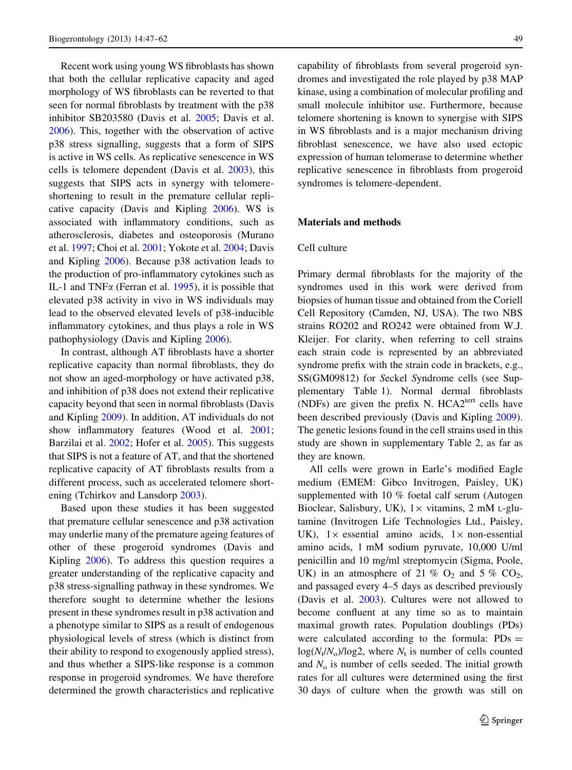<span id="page-2-0"></span>Recent work using young WS fibroblasts has shown that both the cellular replicative capacity and aged morphology of WS fibroblasts can be reverted to that seen for normal fibroblasts by treatment with the p38 inhibitor SB203580 (Davis et al. [2005](#page-13-0); Davis et al. [2006\)](#page-13-0). This, together with the observation of active p38 stress signalling, suggests that a form of SIPS is active in WS cells. As replicative senescence in WS cells is telomere dependent (Davis et al. [2003](#page-13-0)), this suggests that SIPS acts in synergy with telomereshortening to result in the premature cellular replicative capacity (Davis and Kipling [2006\)](#page-13-0). WS is associated with inflammatory conditions, such as atherosclerosis, diabetes and osteoporosis (Murano et al. [1997](#page-14-0); Choi et al. [2001](#page-13-0); Yokote et al. [2004;](#page-15-0) Davis and Kipling [2006\)](#page-13-0). Because p38 activation leads to the production of pro-inflammatory cytokines such as IL-1 and TNF $\alpha$  (Ferran et al. [1995](#page-13-0)), it is possible that elevated p38 activity in vivo in WS individuals may lead to the observed elevated levels of p38-inducible inflammatory cytokines, and thus plays a role in WS pathophysiology (Davis and Kipling [2006](#page-13-0)).

In contrast, although AT fibroblasts have a shorter replicative capacity than normal fibroblasts, they do not show an aged-morphology or have activated p38, and inhibition of p38 does not extend their replicative capacity beyond that seen in normal fibroblasts (Davis and Kipling [2009\)](#page-13-0). In addition, AT individuals do not show inflammatory features (Wood et al. [2001](#page-15-0); Barzilai et al. [2002](#page-13-0); Hofer et al. [2005\)](#page-13-0). This suggests that SIPS is not a feature of AT, and that the shortened replicative capacity of AT fibroblasts results from a different process, such as accelerated telomere shortening (Tchirkov and Lansdorp [2003](#page-14-0)).

Based upon these studies it has been suggested that premature cellular senescence and p38 activation may underlie many of the premature ageing features of other of these progeroid syndromes (Davis and Kipling [2006\)](#page-13-0). To address this question requires a greater understanding of the replicative capacity and p38 stress-signalling pathway in these syndromes. We therefore sought to determine whether the lesions present in these syndromes result in p38 activation and a phenotype similar to SIPS as a result of endogenous physiological levels of stress (which is distinct from their ability to respond to exogenously applied stress), and thus whether a SIPS-like response is a common response in progeroid syndromes. We have therefore determined the growth characteristics and replicative

capability of fibroblasts from several progeroid syndromes and investigated the role played by p38 MAP kinase, using a combination of molecular profiling and small molecule inhibitor use. Furthermore, because telomere shortening is known to synergise with SIPS in WS fibroblasts and is a major mechanism driving fibroblast senescence, we have also used ectopic expression of human telomerase to determine whether replicative senescence in fibroblasts from progeroid syndromes is telomere-dependent.

## Materials and methods

#### Cell culture

Primary dermal fibroblasts for the majority of the syndromes used in this work were derived from biopsies of human tissue and obtained from the Coriell Cell Repository (Camden, NJ, USA). The two NBS strains RO202 and RO242 were obtained from W.J. Kleijer. For clarity, when referring to cell strains each strain code is represented by an abbreviated syndrome prefix with the strain code in brackets, e.g., SS(GM09812) for Seckel Syndrome cells (see Supplementary Table 1). Normal dermal fibroblasts (NDFs) are given the prefix N.  $HCA2<sup>tert</sup>$  cells have been described previously (Davis and Kipling [2009](#page-13-0)). The genetic lesions found in the cell strains used in this study are shown in supplementary Table 2, as far as they are known.

All cells were grown in Earle's modified Eagle medium (EMEM: Gibco Invitrogen, Paisley, UK) supplemented with 10 % foetal calf serum (Autogen Bioclear, Salisbury, UK),  $1 \times$  vitamins, 2 mM L-glutamine (Invitrogen Life Technologies Ltd., Paisley, UK),  $1 \times$  essential amino acids,  $1 \times$  non-essential amino acids, 1 mM sodium pyruvate, 10,000 U/ml penicillin and 10 mg/ml streptomycin (Sigma, Poole, UK) in an atmosphere of 21 %  $O_2$  and 5 %  $CO_2$ , and passaged every 4–5 days as described previously (Davis et al. [2003\)](#page-13-0). Cultures were not allowed to become confluent at any time so as to maintain maximal growth rates. Population doublings (PDs) were calculated according to the formula:  $PDs =$  $log(N_t/N_o)/log2$ , where  $N_t$  is number of cells counted and  $N<sub>o</sub>$  is number of cells seeded. The initial growth rates for all cultures were determined using the first 30 days of culture when the growth was still on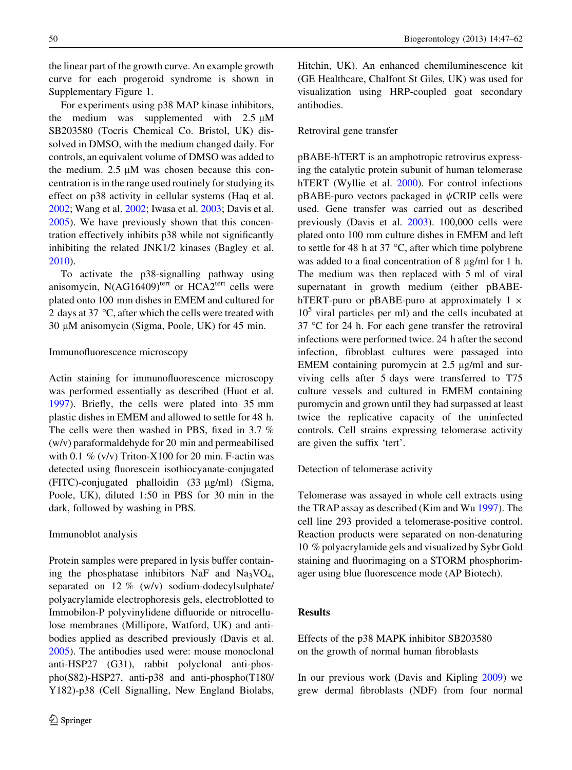the linear part of the growth curve. An example growth curve for each progeroid syndrome is shown in Supplementary Figure 1.

For experiments using p38 MAP kinase inhibitors, the medium was supplemented with  $2.5 \mu M$ SB203580 (Tocris Chemical Co. Bristol, UK) dissolved in DMSO, with the medium changed daily. For controls, an equivalent volume of DMSO was added to the medium.  $2.5 \mu M$  was chosen because this concentration is in the range used routinely for studying its effect on p38 activity in cellular systems (Haq et al. [2002;](#page-13-0) Wang et al. [2002;](#page-14-0) Iwasa et al. [2003](#page-14-0); Davis et al. [2005\)](#page-13-0). We have previously shown that this concentration effectively inhibits p38 while not significantly inhibiting the related JNK1/2 kinases (Bagley et al. [2010\)](#page-13-0).

To activate the p38-signalling pathway using anisomycin,  $N(AG16409)$ <sup>tert</sup> or  $HCA2$ <sup>tert</sup> cells were plated onto 100 mm dishes in EMEM and cultured for 2 days at 37  $\degree$ C, after which the cells were treated with  $30 \mu M$  anisomycin (Sigma, Poole, UK) for 45 min.

# Immunofluorescence microscopy

Actin staining for immunofluorescence microscopy was performed essentially as described (Huot et al. [1997\)](#page-13-0). Briefly, the cells were plated into 35 mm plastic dishes in EMEM and allowed to settle for 48 h. The cells were then washed in PBS, fixed in 3.7 % (w/v) paraformaldehyde for 20 min and permeabilised with 0.1  $\%$  (v/v) Triton-X100 for 20 min. F-actin was detected using fluorescein isothiocyanate-conjugated  $(FITC)$ -conjugated phalloidin  $(33 \mu g/ml)$  (Sigma, Poole, UK), diluted 1:50 in PBS for 30 min in the dark, followed by washing in PBS.

#### Immunoblot analysis

Protein samples were prepared in lysis buffer containing the phosphatase inhibitors NaF and Na<sub>3</sub>VO<sub>4</sub>, separated on 12 % (w/v) sodium-dodecylsulphate/ polyacrylamide electrophoresis gels, electroblotted to Immobilon-P polyvinylidene difluoride or nitrocellulose membranes (Millipore, Watford, UK) and antibodies applied as described previously (Davis et al. [2005\)](#page-13-0). The antibodies used were: mouse monoclonal anti-HSP27 (G31), rabbit polyclonal anti-phospho(S82)-HSP27, anti-p38 and anti-phospho(T180/ Y182)-p38 (Cell Signalling, New England Biolabs, Hitchin, UK). An enhanced chemiluminescence kit

(GE Healthcare, Chalfont St Giles, UK) was used for visualization using HRP-coupled goat secondary antibodies.

## Retroviral gene transfer

pBABE-hTERT is an amphotropic retrovirus expressing the catalytic protein subunit of human telomerase hTERT (Wyllie et al. [2000\)](#page-15-0). For control infections  $pBABE$ -puro vectors packaged in  $\psi$ CRIP cells were used. Gene transfer was carried out as described previously (Davis et al. [2003\)](#page-13-0). 100,000 cells were plated onto 100 mm culture dishes in EMEM and left to settle for 48 h at 37  $\degree$ C, after which time polybrene was added to a final concentration of 8  $\mu$ g/ml for 1 h. The medium was then replaced with 5 ml of viral supernatant in growth medium (either pBABEhTERT-puro or pBABE-puro at approximately  $1 \times$  $10<sup>5</sup>$  viral particles per ml) and the cells incubated at  $37 \text{ °C}$  for 24 h. For each gene transfer the retroviral infections were performed twice. 24 h after the second infection, fibroblast cultures were passaged into EMEM containing puromycin at  $2.5 \mu g/ml$  and surviving cells after 5 days were transferred to T75 culture vessels and cultured in EMEM containing puromycin and grown until they had surpassed at least twice the replicative capacity of the uninfected controls. Cell strains expressing telomerase activity are given the suffix 'tert'.

Detection of telomerase activity

Telomerase was assayed in whole cell extracts using the TRAP assay as described (Kim and Wu [1997\)](#page-14-0). The cell line 293 provided a telomerase-positive control. Reaction products were separated on non-denaturing 10 % polyacrylamide gels and visualized by Sybr Gold staining and fluorimaging on a STORM phosphorimager using blue fluorescence mode (AP Biotech).

# Results

Effects of the p38 MAPK inhibitor SB203580 on the growth of normal human fibroblasts

In our previous work (Davis and Kipling [2009](#page-13-0)) we grew dermal fibroblasts (NDF) from four normal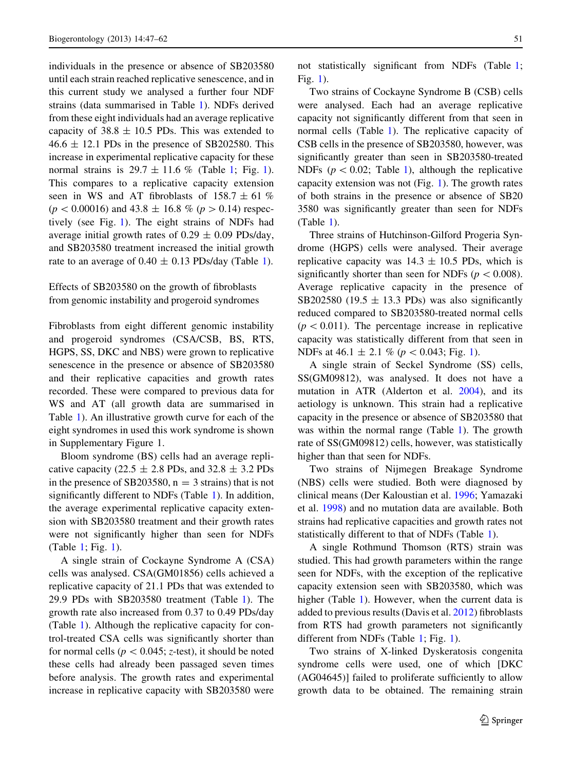individuals in the presence or absence of SB203580 until each strain reached replicative senescence, and in this current study we analysed a further four NDF strains (data summarised in Table [1](#page-5-0)). NDFs derived from these eight individuals had an average replicative capacity of  $38.8 \pm 10.5$  PDs. This was extended to  $46.6 \pm 12.1$  PDs in the presence of SB202580. This increase in experimental replicative capacity for these normal strains is  $29.7 \pm 11.6$  $29.7 \pm 11.6$  $29.7 \pm 11.6$  % (Table 1; Fig. 1). This compares to a replicative capacity extension seen in WS and AT fibroblasts of  $158.7 \pm 61$  %  $(p < 0.00016)$  and 43.8  $\pm$  16.8 % (p > 0.14) respectively (see Fig. [1](#page-6-0)). The eight strains of NDFs had average initial growth rates of  $0.29 \pm 0.09$  PDs/day, and SB203580 treatment increased the initial growth rate to an average of  $0.40 \pm 0.13$  PDs/day (Table [1\)](#page-5-0).

Effects of SB203580 on the growth of fibroblasts from genomic instability and progeroid syndromes

Fibroblasts from eight different genomic instability and progeroid syndromes (CSA/CSB, BS, RTS, HGPS, SS, DKC and NBS) were grown to replicative senescence in the presence or absence of SB203580 and their replicative capacities and growth rates recorded. These were compared to previous data for WS and AT (all growth data are summarised in Table [1\)](#page-5-0). An illustrative growth curve for each of the eight syndromes in used this work syndrome is shown in Supplementary Figure 1.

Bloom syndrome (BS) cells had an average replicative capacity (22.5  $\pm$  2.8 PDs, and 32.8  $\pm$  3.2 PDs in the presence of SB203580,  $n = 3$  strains) that is not significantly different to NDFs (Table [1](#page-5-0)). In addition, the average experimental replicative capacity extension with SB203580 treatment and their growth rates were not significantly higher than seen for NDFs (Table [1](#page-5-0); Fig. [1\)](#page-6-0).

A single strain of Cockayne Syndrome A (CSA) cells was analysed. CSA(GM01856) cells achieved a replicative capacity of 21.1 PDs that was extended to 29.9 PDs with SB203580 treatment (Table [1](#page-5-0)). The growth rate also increased from 0.37 to 0.49 PDs/day (Table [1](#page-5-0)). Although the replicative capacity for control-treated CSA cells was significantly shorter than for normal cells ( $p < 0.045$ ; z-test), it should be noted these cells had already been passaged seven times before analysis. The growth rates and experimental increase in replicative capacity with SB203580 were

not statistically significant from NDFs (Table [1](#page-5-0); Fig. [1\)](#page-6-0).

Two strains of Cockayne Syndrome B (CSB) cells were analysed. Each had an average replicative capacity not significantly different from that seen in normal cells (Table [1\)](#page-5-0). The replicative capacity of CSB cells in the presence of SB203580, however, was significantly greater than seen in SB203580-treated NDFs ( $p < 0.02$ ; Table [1\)](#page-5-0), although the replicative capacity extension was not (Fig. [1](#page-6-0)). The growth rates of both strains in the presence or absence of SB20 3580 was significantly greater than seen for NDFs (Table [1](#page-5-0)).

Three strains of Hutchinson-Gilford Progeria Syndrome (HGPS) cells were analysed. Their average replicative capacity was  $14.3 \pm 10.5$  PDs, which is significantly shorter than seen for NDFs ( $p < 0.008$ ). Average replicative capacity in the presence of SB202580 (19.5  $\pm$  13.3 PDs) was also significantly reduced compared to SB203580-treated normal cells  $(p<0.011)$ . The percentage increase in replicative capacity was statistically different from that seen in NDFs at  $46.1 \pm 2.1$  % ( $p < 0.043$ ; Fig. [1\)](#page-6-0).

A single strain of Seckel Syndrome (SS) cells, SS(GM09812), was analysed. It does not have a mutation in ATR (Alderton et al. [2004\)](#page-12-0), and its aetiology is unknown. This strain had a replicative capacity in the presence or absence of SB203580 that was within the normal range (Table [1\)](#page-5-0). The growth rate of SS(GM09812) cells, however, was statistically higher than that seen for NDFs.

Two strains of Nijmegen Breakage Syndrome (NBS) cells were studied. Both were diagnosed by clinical means (Der Kaloustian et al. [1996](#page-13-0); Yamazaki et al. [1998](#page-15-0)) and no mutation data are available. Both strains had replicative capacities and growth rates not statistically different to that of NDFs (Table [1](#page-5-0)).

A single Rothmund Thomson (RTS) strain was studied. This had growth parameters within the range seen for NDFs, with the exception of the replicative capacity extension seen with SB203580, which was higher (Table [1](#page-5-0)). However, when the current data is added to previous results (Davis et al. [2012\)](#page-13-0) fibroblasts from RTS had growth parameters not significantly different from NDFs (Table [1](#page-5-0); Fig. [1](#page-6-0)).

Two strains of X-linked Dyskeratosis congenita syndrome cells were used, one of which [DKC (AG04645)] failed to proliferate sufficiently to allow growth data to be obtained. The remaining strain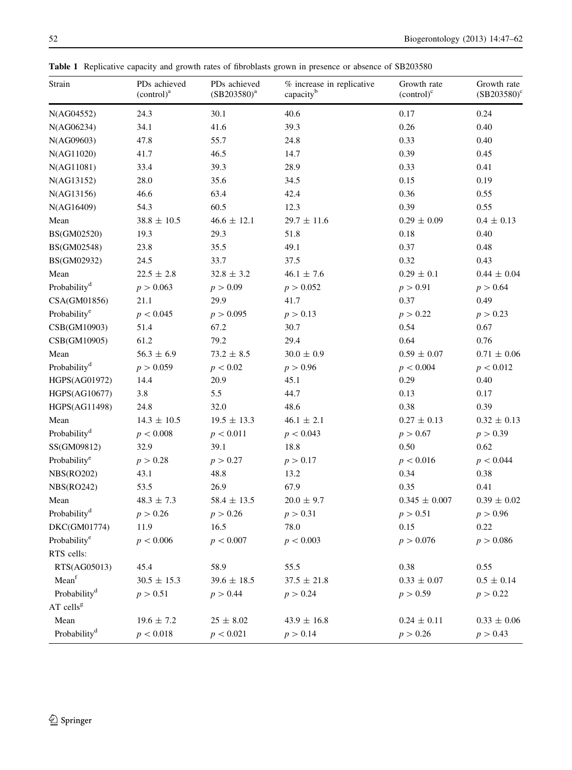<span id="page-5-0"></span>Table 1 Replicative capacity and growth rates of fibroblasts grown in presence or absence of SB203580

| Strain                   | PDs achieved<br>$(control)^a$ | PDs achieved<br>$(SB203580)^{a}$ | % increase in replicative<br>capacityb | Growth rate<br>$(control)^c$ | Growth rate<br>$(SB203580)^c$ |
|--------------------------|-------------------------------|----------------------------------|----------------------------------------|------------------------------|-------------------------------|
| N(AG04552)               | 24.3                          | 30.1                             | 40.6                                   | 0.17                         | 0.24                          |
| N(AG06234)               | 34.1                          | 41.6                             | 39.3                                   | 0.26                         | 0.40                          |
| N(AG09603)               | 47.8                          | 55.7                             | 24.8                                   | 0.33                         | 0.40                          |
| N(AG11020)               | 41.7                          | 46.5                             | 14.7                                   | 0.39                         | 0.45                          |
| N(AG11081)               | 33.4                          | 39.3                             | 28.9                                   | 0.33                         | 0.41                          |
| N(AG13152)               | 28.0                          | 35.6                             | 34.5                                   | 0.15                         | 0.19                          |
| N(AG13156)               | 46.6                          | 63.4                             | 42.4                                   | 0.36                         | 0.55                          |
| N(AG16409)               | 54.3                          | 60.5                             | 12.3                                   | 0.39                         | 0.55                          |
| Mean                     | $38.8 \pm 10.5$               | $46.6 \pm 12.1$                  | $29.7 \pm 11.6$                        | $0.29 \pm 0.09$              | $0.4 \pm 0.13$                |
| BS(GM02520)              | 19.3                          | 29.3                             | 51.8                                   | 0.18                         | 0.40                          |
| BS(GM02548)              | 23.8                          | 35.5                             | 49.1                                   | 0.37                         | 0.48                          |
| BS(GM02932)              | 24.5                          | 33.7                             | 37.5                                   | 0.32                         | 0.43                          |
| Mean                     | $22.5 \pm 2.8$                | $32.8 \pm 3.2$                   | $46.1 \pm 7.6$                         | $0.29 \pm 0.1$               | $0.44\,\pm\,0.04$             |
| Probability <sup>d</sup> | p > 0.063                     | p > 0.09                         | p > 0.052                              | p > 0.91                     | p > 0.64                      |
| CSA(GM01856)             | 21.1                          | 29.9                             | 41.7                                   | 0.37                         | 0.49                          |
| Probability <sup>e</sup> | p < 0.045                     | p > 0.095                        | p > 0.13                               | p > 0.22                     | p > 0.23                      |
| CSB(GM10903)             | 51.4                          | 67.2                             | 30.7                                   | 0.54                         | 0.67                          |
| CSB(GM10905)             | 61.2                          | 79.2                             | 29.4                                   | 0.64                         | 0.76                          |
| Mean                     | $56.3 \pm 6.9$                | $73.2 \pm 8.5$                   | $30.0 \pm 0.9$                         | $0.59 \pm 0.07$              | $0.71 \pm 0.06$               |
| Probability <sup>d</sup> | p > 0.059                     | p < 0.02                         | p > 0.96                               | p < 0.004                    | p < 0.012                     |
| HGPS(AG01972)            | 14.4                          | 20.9                             | 45.1                                   | 0.29                         | 0.40                          |
| HGPS(AG10677)            | 3.8                           | 5.5                              | 44.7                                   | 0.13                         | 0.17                          |
| HGPS(AG11498)            | 24.8                          | 32.0                             | 48.6                                   | 0.38                         | 0.39                          |
| Mean                     | $14.3 \pm 10.5$               | $19.5 \pm 13.3$                  | $46.1 \pm 2.1$                         | $0.27 \pm 0.13$              | $0.32 \pm 0.13$               |
| Probability <sup>d</sup> | p < 0.008                     | p < 0.011                        | p < 0.043                              | p > 0.67                     | p > 0.39                      |
| SS(GM09812)              | 32.9                          | 39.1                             | 18.8                                   | 0.50                         | 0.62                          |
| Probability <sup>e</sup> | p > 0.28                      | p > 0.27                         | p > 0.17                               | p < 0.016                    | p < 0.044                     |
| <b>NBS(RO202)</b>        | 43.1                          | 48.8                             | 13.2                                   | 0.34                         | 0.38                          |
| <b>NBS(RO242)</b>        | 53.5                          | 26.9                             | 67.9                                   | 0.35                         | 0.41                          |
| Mean                     | $48.3 \pm 7.3$                | $58.4 \pm 13.5$                  | $20.0 \pm 9.7$                         | $0.345 \pm 0.007$            | $0.39 \pm 0.02$               |
| Probability <sup>d</sup> | p > 0.26                      | p > 0.26                         | p > 0.31                               | p > 0.51                     | p > 0.96                      |
| DKC(GM01774)             | 11.9                          | 16.5                             | 78.0                                   | 0.15                         | 0.22                          |
| Probability <sup>e</sup> | p < 0.006                     | p < 0.007                        | p < 0.003                              | p > 0.076                    | p > 0.086                     |
| RTS cells:               |                               |                                  |                                        |                              |                               |
| RTS(AG05013)             | 45.4                          | 58.9                             | 55.5                                   | 0.38                         | 0.55                          |
| Mean <sup>f</sup>        | $30.5 \pm 15.3$               | $39.6 \pm 18.5$                  | $37.5 \pm 21.8$                        | $0.33 \pm 0.07$              | $0.5 \pm 0.14$                |
| Probability <sup>d</sup> | p > 0.51                      | p > 0.44                         | p > 0.24                               | p > 0.59                     | p > 0.22                      |
| AT cells $g$             |                               |                                  |                                        |                              |                               |
| Mean                     | $19.6 \pm 7.2$                | $25 \pm 8.02$                    | $43.9 \pm 16.8$                        | $0.24 \pm 0.11$              | $0.33 \pm 0.06$               |
| Probability <sup>d</sup> | p < 0.018                     | p < 0.021                        | p > 0.14                               | p > 0.26                     | p > 0.43                      |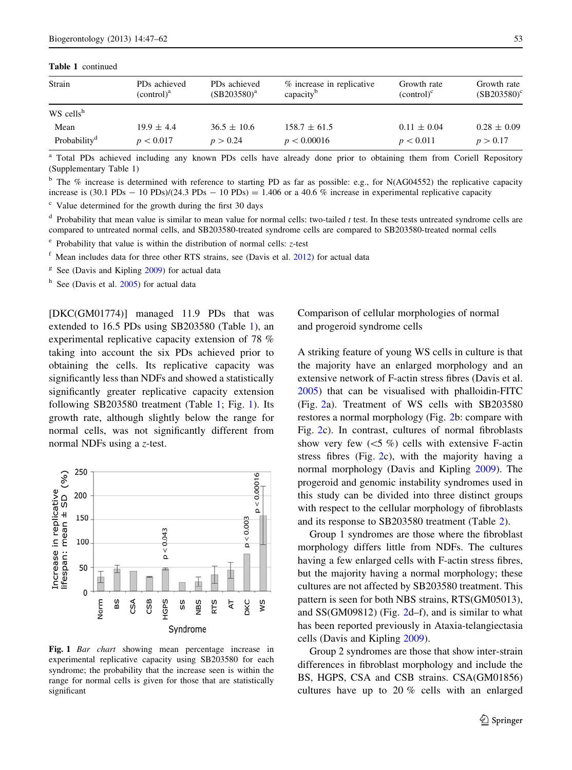<span id="page-6-0"></span>Table 1 continued

| Strain                   | PD <sub>s</sub> achieved<br>$\text{(control)}^a$ | PD <sub>s</sub> achieved<br>$(SB203580)^{a}$ | % increase in replicative<br>capacity <sup>b</sup> | Growth rate<br>$\text{(control)}^c$ | Growth rate<br>$(SB203580)$ <sup>c</sup> |
|--------------------------|--------------------------------------------------|----------------------------------------------|----------------------------------------------------|-------------------------------------|------------------------------------------|
| $WS$ cells <sup>h</sup>  |                                                  |                                              |                                                    |                                     |                                          |
| Mean                     | $19.9 \pm 4.4$                                   | $36.5 \pm 10.6$                              | $158.7 \pm 61.5$                                   | $0.11 \pm 0.04$                     | $0.28 \pm 0.09$                          |
| Probability <sup>d</sup> | p < 0.017                                        | p > 0.24                                     | p < 0.00016                                        | p < 0.011                           | p > 0.17                                 |

<sup>a</sup> Total PDs achieved including any known PDs cells have already done prior to obtaining them from Coriell Repository (Supplementary Table 1)

<sup>b</sup> The % increase is determined with reference to starting PD as far as possible: e.g., for N(AG04552) the replicative capacity increase is  $(30.1 \text{ PDs} - 10 \text{ PDs})/(24.3 \text{ PDs} - 10 \text{ PDs}) = 1.406$  or a 40.6 % increase in experimental replicative capacity

<sup>c</sup> Value determined for the growth during the first 30 days

 $d$  Probability that mean value is similar to mean value for normal cells: two-tailed  $t$  test. In these tests untreated syndrome cells are compared to untreated normal cells, and SB203580-treated syndrome cells are compared to SB203580-treated normal cells

 $e^{\epsilon}$  Probability that value is within the distribution of normal cells:  $z$ -test

 $f$  Mean includes data for three other RTS strains, see (Davis et al.  $2012$ ) for actual data

 $g<sup>g</sup>$  See (Davis and Kipling [2009](#page-13-0)) for actual data

<sup>h</sup> See (Davis et al. [2005\)](#page-13-0) for actual data

[DKC(GM01774)] managed 11.9 PDs that was extended to 16.5 PDs using SB203580 (Table [1](#page-5-0)), an experimental replicative capacity extension of 78 % taking into account the six PDs achieved prior to obtaining the cells. Its replicative capacity was significantly less than NDFs and showed a statistically significantly greater replicative capacity extension following SB203580 treatment (Table [1;](#page-5-0) Fig. 1). Its growth rate, although slightly below the range for normal cells, was not significantly different from normal NDFs using a z-test.



Fig. 1 Bar chart showing mean percentage increase in experimental replicative capacity using SB203580 for each syndrome; the probability that the increase seen is within the range for normal cells is given for those that are statistically significant

Comparison of cellular morphologies of normal and progeroid syndrome cells

A striking feature of young WS cells in culture is that the majority have an enlarged morphology and an extensive network of F-actin stress fibres (Davis et al. [2005\)](#page-13-0) that can be visualised with phalloidin-FITC (Fig. [2](#page-7-0)a). Treatment of WS cells with SB203580 restores a normal morphology (Fig. [2](#page-7-0)b: compare with Fig. [2c](#page-7-0)). In contrast, cultures of normal fibroblasts show very few  $(<5 %)$  cells with extensive F-actin stress fibres (Fig.  $2c$  $2c$ ), with the majority having a normal morphology (Davis and Kipling [2009\)](#page-13-0). The progeroid and genomic instability syndromes used in this study can be divided into three distinct groups with respect to the cellular morphology of fibroblasts and its response to SB203580 treatment (Table [2\)](#page-8-0).

Group 1 syndromes are those where the fibroblast morphology differs little from NDFs. The cultures having a few enlarged cells with F-actin stress fibres, but the majority having a normal morphology; these cultures are not affected by SB203580 treatment. This pattern is seen for both NBS strains, RTS(GM05013), and SS(GM09812) (Fig. [2](#page-7-0)d–f), and is similar to what has been reported previously in Ataxia-telangiectasia cells (Davis and Kipling [2009](#page-13-0)).

Group 2 syndromes are those that show inter-strain differences in fibroblast morphology and include the BS, HGPS, CSA and CSB strains. CSA(GM01856) cultures have up to 20 % cells with an enlarged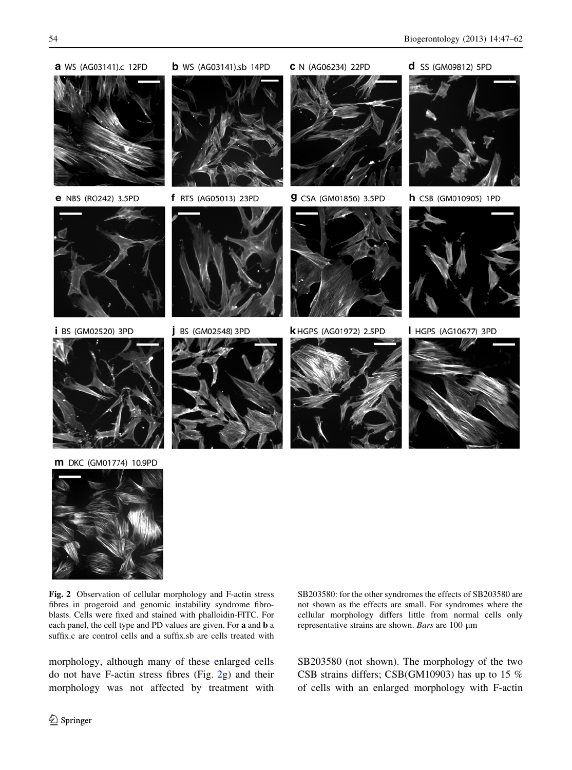<span id="page-7-0"></span>



Fig. 2 Observation of cellular morphology and F-actin stress fibres in progeroid and genomic instability syndrome fibroblasts. Cells were fixed and stained with phalloidin-FITC. For each panel, the cell type and PD values are given. For a and b a suffix.c are control cells and a suffix.sb are cells treated with

morphology, although many of these enlarged cells do not have F-actin stress fibres (Fig. 2g) and their morphology was not affected by treatment with SB203580: for the other syndromes the effects of SB203580 are not shown as the effects are small. For syndromes where the cellular morphology differs little from normal cells only representative strains are shown. Bars are  $100 \mu m$ 

SB203580 (not shown). The morphology of the two CSB strains differs; CSB(GM10903) has up to 15 % of cells with an enlarged morphology with F-actin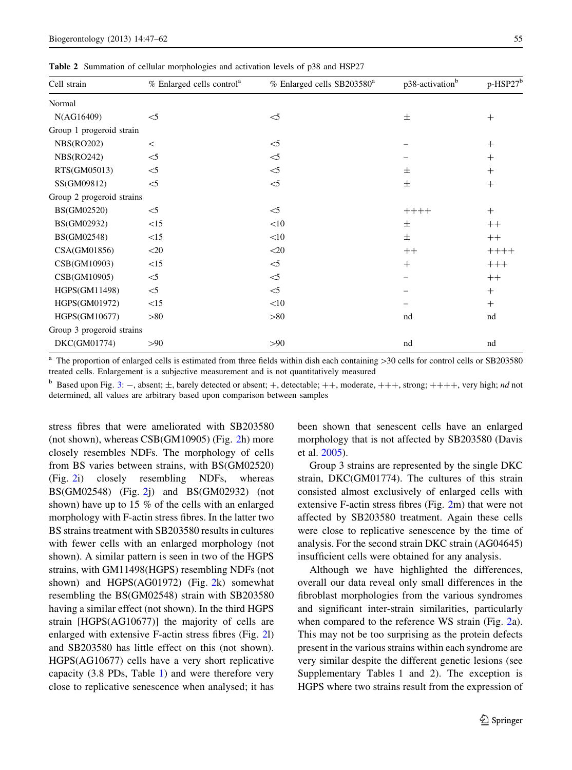<span id="page-8-0"></span>Table 2 Summation of cellular morphologies and activation levels of p38 and HSP27

| Cell strain               | % Enlarged cells control <sup>a</sup> | % Enlarged cells SB203580 <sup>a</sup> | p38-activation <sup>b</sup> | p-HSP27 <sup>b</sup> |
|---------------------------|---------------------------------------|----------------------------------------|-----------------------------|----------------------|
| Normal                    |                                       |                                        |                             |                      |
| N(AG16409)                | $<$ 5                                 | $<$ 5                                  | $\pm$                       | $^{+}$               |
| Group 1 progeroid strain  |                                       |                                        |                             |                      |
| NBS(RO202)                | $\,<\,$                               | $\leq$                                 |                             | $^{+}$               |
| NBS(RO242)                | $<$ 5                                 | $<$ 5                                  |                             | $^{+}$               |
| RTS(GM05013)              | $<$ 5                                 | $<$ 5                                  | $\pm$                       | $^{+}$               |
| SS(GM09812)               | $<$ 5                                 | $<$ 5                                  | $\pm$                       | $^{+}$               |
| Group 2 progeroid strains |                                       |                                        |                             |                      |
| BS(GM02520)               | $<$ 5                                 | $\leq$                                 | $+++++$                     | $^{+}$               |
| BS(GM02932)               | <15                                   | <10                                    | $\pm$                       | $++$                 |
| BS(GM02548)               | <15                                   | <10                                    | $\pm$                       | $++$                 |
| CSA(GM01856)              | $<$ 20                                | $<$ 20                                 | $++$                        | $+++++$              |
| CSB(GM10903)              | <15                                   | $\leq$                                 | $^{+}$                      | $+++$                |
| CSB(GM10905)              | $<$ 5                                 | $\leq$                                 |                             | $++$                 |
| HGPS(GM11498)             | $<$ 5                                 | $\leq$                                 |                             | $^{+}$               |
| HGPS(GM01972)             | <15                                   | <10                                    |                             | $^{+}$               |
| HGPS(GM10677)             | >80                                   | >80                                    | nd                          | nd                   |
| Group 3 progeroid strains |                                       |                                        |                             |                      |
| DKC(GM01774)              | >90                                   | >90                                    | nd                          | nd                   |
|                           |                                       |                                        |                             |                      |

 $a$  The proportion of enlarged cells is estimated from three fields within dish each containing  $>30$  cells for control cells or SB203580 treated cells. Enlargement is a subjective measurement and is not quantitatively measured

Based upon Fig. [3:](#page-9-0)  $-$ , absent;  $\pm$ , barely detected or absent;  $+$ , detectable;  $++$ , moderate,  $+++$ , strong;  $+++$ , very high; nd not determined, all values are arbitrary based upon comparison between samples

stress fibres that were ameliorated with SB203580 (not shown), whereas CSB(GM10905) (Fig. [2h](#page-7-0)) more closely resembles NDFs. The morphology of cells from BS varies between strains, with BS(GM02520) (Fig. [2](#page-7-0)i) closely resembling NDFs, whereas BS(GM02548) (Fig. [2j](#page-7-0)) and BS(GM02932) (not shown) have up to 15 % of the cells with an enlarged morphology with F-actin stress fibres. In the latter two BS strains treatment with SB203580 results in cultures with fewer cells with an enlarged morphology (not shown). A similar pattern is seen in two of the HGPS strains, with GM11498(HGPS) resembling NDFs (not shown) and HGPS(AG01972) (Fig. [2](#page-7-0)k) somewhat resembling the BS(GM02548) strain with SB203580 having a similar effect (not shown). In the third HGPS strain [HGPS(AG10677)] the majority of cells are enlarged with extensive F-actin stress fibres (Fig. [2](#page-7-0)l) and SB203580 has little effect on this (not shown). HGPS(AG10677) cells have a very short replicative capacity (3.8 PDs, Table [1\)](#page-5-0) and were therefore very close to replicative senescence when analysed; it has been shown that senescent cells have an enlarged morphology that is not affected by SB203580 (Davis et al. [2005](#page-13-0)).

Group 3 strains are represented by the single DKC strain, DKC(GM01774). The cultures of this strain consisted almost exclusively of enlarged cells with extensive F-actin stress fibres (Fig. [2m](#page-7-0)) that were not affected by SB203580 treatment. Again these cells were close to replicative senescence by the time of analysis. For the second strain DKC strain (AG04645) insufficient cells were obtained for any analysis.

Although we have highlighted the differences, overall our data reveal only small differences in the fibroblast morphologies from the various syndromes and significant inter-strain similarities, particularly when compared to the reference WS strain (Fig. [2a](#page-7-0)). This may not be too surprising as the protein defects present in the various strains within each syndrome are very similar despite the different genetic lesions (see Supplementary Tables 1 and 2). The exception is HGPS where two strains result from the expression of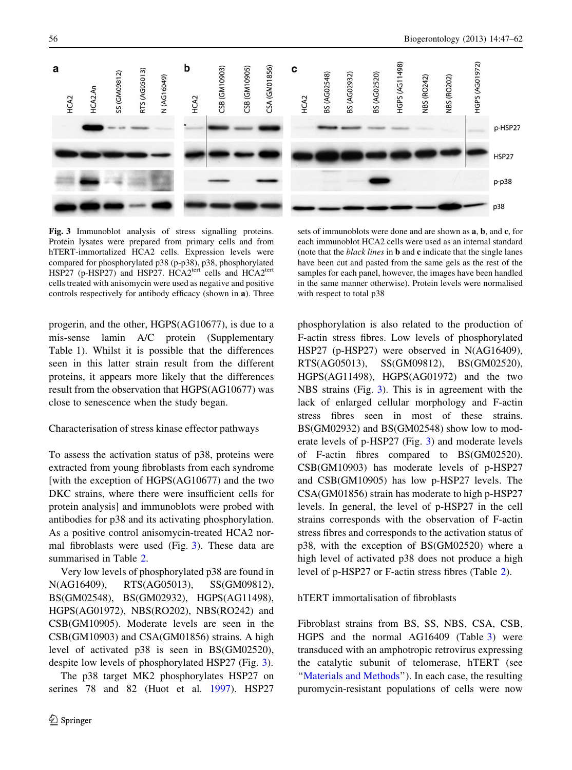<span id="page-9-0"></span>

Fig. 3 Immunoblot analysis of stress signalling proteins. Protein lysates were prepared from primary cells and from hTERT-immortalized HCA2 cells. Expression levels were compared for phosphorylated p38 (p-p38), p38, phosphorylated HSP27 (p-HSP27) and HSP27. HCA2<sup>tert</sup> cells and HCA2<sup>tert</sup> cells treated with anisomycin were used as negative and positive controls respectively for antibody efficacy (shown in a). Three

progerin, and the other, HGPS(AG10677), is due to a mis-sense lamin A/C protein (Supplementary Table 1). Whilst it is possible that the differences seen in this latter strain result from the different proteins, it appears more likely that the differences result from the observation that HGPS(AG10677) was close to senescence when the study began.

#### Characterisation of stress kinase effector pathways

To assess the activation status of p38, proteins were extracted from young fibroblasts from each syndrome [with the exception of HGPS(AG10677) and the two DKC strains, where there were insufficient cells for protein analysis] and immunoblots were probed with antibodies for p38 and its activating phosphorylation. As a positive control anisomycin-treated HCA2 normal fibroblasts were used (Fig. 3). These data are summarised in Table [2.](#page-8-0)

Very low levels of phosphorylated p38 are found in N(AG16409), RTS(AG05013), SS(GM09812), BS(GM02548), BS(GM02932), HGPS(AG11498), HGPS(AG01972), NBS(RO202), NBS(RO242) and CSB(GM10905). Moderate levels are seen in the CSB(GM10903) and CSA(GM01856) strains. A high level of activated p38 is seen in BS(GM02520), despite low levels of phosphorylated HSP27 (Fig. 3).

The p38 target MK2 phosphorylates HSP27 on serines 78 and 82 (Huot et al. [1997\)](#page-13-0). HSP27

sets of immunoblots were done and are shown as a, b, and c, for each immunoblot HCA2 cells were used as an internal standard (note that the *black lines* in  $\bf{b}$  and  $\bf{c}$  indicate that the single lanes have been cut and pasted from the same gels as the rest of the samples for each panel, however, the images have been handled in the same manner otherwise). Protein levels were normalised with respect to total p38

phosphorylation is also related to the production of F-actin stress fibres. Low levels of phosphorylated HSP27 (p-HSP27) were observed in N(AG16409), RTS(AG05013), SS(GM09812), BS(GM02520), HGPS(AG11498), HGPS(AG01972) and the two NBS strains (Fig. 3). This is in agreement with the lack of enlarged cellular morphology and F-actin stress fibres seen in most of these strains. BS(GM02932) and BS(GM02548) show low to moderate levels of p-HSP27 (Fig. 3) and moderate levels of F-actin fibres compared to BS(GM02520). CSB(GM10903) has moderate levels of p-HSP27 and CSB(GM10905) has low p-HSP27 levels. The CSA(GM01856) strain has moderate to high p-HSP27 levels. In general, the level of p-HSP27 in the cell strains corresponds with the observation of F-actin stress fibres and corresponds to the activation status of p38, with the exception of BS(GM02520) where a high level of activated p38 does not produce a high level of p-HSP27 or F-actin stress fibres (Table [2](#page-8-0)).

# hTERT immortalisation of fibroblasts

Fibroblast strains from BS, SS, NBS, CSA, CSB, HGPS and the normal AG16409 (Table [3](#page-10-0)) were transduced with an amphotropic retrovirus expressing the catalytic subunit of telomerase, hTERT (see "Materials and Methods"). In each case, the resulting puromycin-resistant populations of cells were now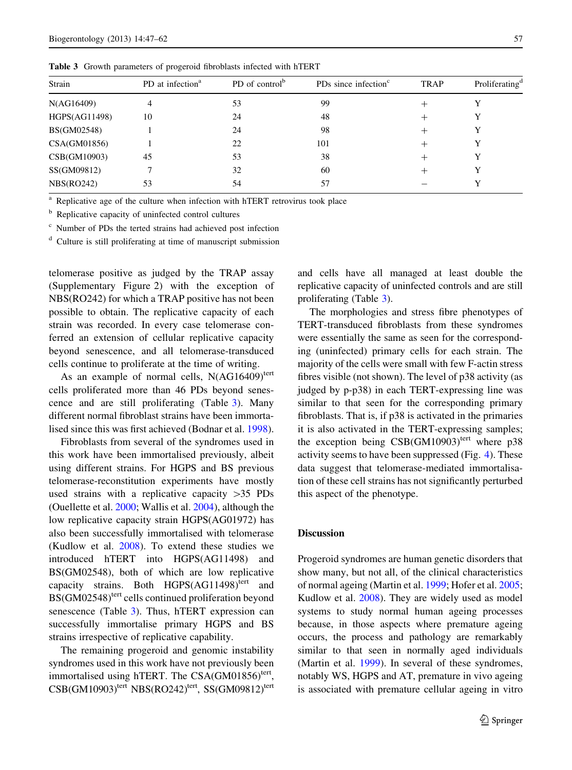<span id="page-10-0"></span>Table 3 Growth parameters of progeroid fibroblasts infected with hTERT

| Strain        | PD at infection <sup>a</sup> | PD of control <sup>b</sup> | PDs since infection <sup>c</sup> | <b>TRAP</b> | Proliferating <sup>d</sup> |
|---------------|------------------------------|----------------------------|----------------------------------|-------------|----------------------------|
| N(AG16409)    | 4                            | 53                         | 99                               |             | Y                          |
| HGPS(AG11498) | 10                           | 24                         | 48                               |             | Y                          |
| BS(GM02548)   |                              | 24                         | 98                               |             | Y                          |
| CSA(GM01856)  |                              | 22                         | 101                              |             | Y                          |
| CSB(GM10903)  | 45                           | 53                         | 38                               |             | Y                          |
| SS(GM09812)   |                              | 32                         | 60                               |             | Y                          |
| NBS(RO242)    | 53                           | 54                         | 57                               |             |                            |
|               |                              |                            |                                  |             |                            |

Replicative age of the culture when infection with hTERT retrovirus took place

<sup>b</sup> Replicative capacity of uninfected control cultures

<sup>c</sup> Number of PDs the terted strains had achieved post infection

 $d$  Culture is still proliferating at time of manuscript submission

telomerase positive as judged by the TRAP assay (Supplementary Figure 2) with the exception of NBS(RO242) for which a TRAP positive has not been possible to obtain. The replicative capacity of each strain was recorded. In every case telomerase conferred an extension of cellular replicative capacity beyond senescence, and all telomerase-transduced cells continue to proliferate at the time of writing.

As an example of normal cells,  $N(AG16409)^\text{tert}$ cells proliferated more than 46 PDs beyond senescence and are still proliferating (Table 3). Many different normal fibroblast strains have been immortalised since this was first achieved (Bodnar et al. [1998](#page-13-0)).

Fibroblasts from several of the syndromes used in this work have been immortalised previously, albeit using different strains. For HGPS and BS previous telomerase-reconstitution experiments have mostly used strains with a replicative capacity  $>35$  PDs (Ouellette et al. [2000](#page-14-0); Wallis et al. [2004\)](#page-14-0), although the low replicative capacity strain HGPS(AG01972) has also been successfully immortalised with telomerase (Kudlow et al. [2008\)](#page-14-0). To extend these studies we introduced hTERT into HGPS(AG11498) and BS(GM02548), both of which are low replicative capacity strains. Both  $HGPS(AG11498)^\text{tert}$  and BS(GM02548)<sup>tert</sup> cells continued proliferation beyond senescence (Table 3). Thus, hTERT expression can successfully immortalise primary HGPS and BS strains irrespective of replicative capability.

The remaining progeroid and genomic instability syndromes used in this work have not previously been immortalised using hTERT. The CSA(GM01856)<sup>tert</sup>,  $CSB(GM10903)$ <sup>tert</sup> NBS(RO242)<sup>tert</sup>, SS(GM09812)<sup>tert</sup> and cells have all managed at least double the replicative capacity of uninfected controls and are still proliferating (Table 3).

The morphologies and stress fibre phenotypes of TERT-transduced fibroblasts from these syndromes were essentially the same as seen for the corresponding (uninfected) primary cells for each strain. The majority of the cells were small with few F-actin stress fibres visible (not shown). The level of p38 activity (as judged by p-p38) in each TERT-expressing line was similar to that seen for the corresponding primary fibroblasts. That is, if p38 is activated in the primaries it is also activated in the TERT-expressing samples; the exception being  $CSB(GM10903)$ <sup>tert</sup> where p38 activity seems to have been suppressed (Fig. [4\)](#page-11-0). These data suggest that telomerase-mediated immortalisation of these cell strains has not significantly perturbed this aspect of the phenotype.

## **Discussion**

Progeroid syndromes are human genetic disorders that show many, but not all, of the clinical characteristics of normal ageing (Martin et al. [1999](#page-14-0); Hofer et al. [2005;](#page-13-0) Kudlow et al. [2008\)](#page-14-0). They are widely used as model systems to study normal human ageing processes because, in those aspects where premature ageing occurs, the process and pathology are remarkably similar to that seen in normally aged individuals (Martin et al. [1999\)](#page-14-0). In several of these syndromes, notably WS, HGPS and AT, premature in vivo ageing is associated with premature cellular ageing in vitro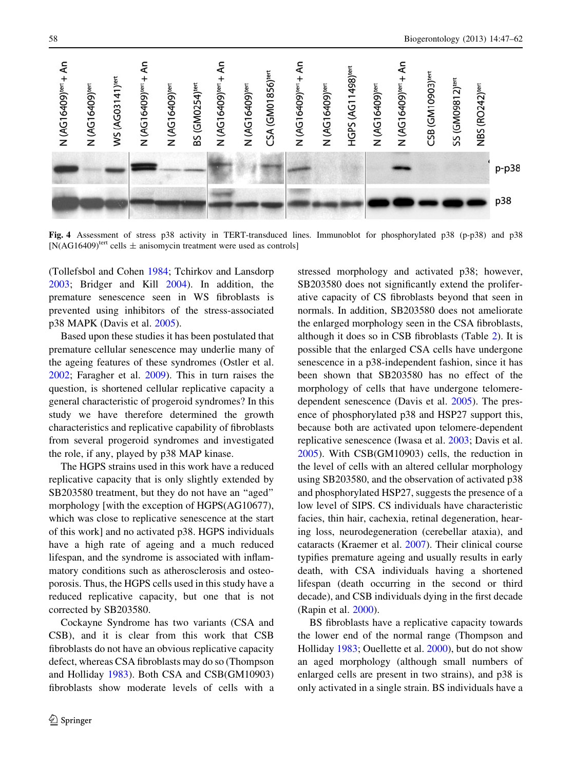<span id="page-11-0"></span>

Fig. 4 Assessment of stress p38 activity in TERT-transduced lines. Immunoblot for phosphorylated p38 (p-p38) and p38  $[N(AG16409)^\text{tert}$  cells  $\pm$  anisomycin treatment were used as controls]

(Tollefsbol and Cohen [1984](#page-14-0); Tchirkov and Lansdorp [2003;](#page-14-0) Bridger and Kill [2004\)](#page-13-0). In addition, the premature senescence seen in WS fibroblasts is prevented using inhibitors of the stress-associated p38 MAPK (Davis et al. [2005](#page-13-0)).

Based upon these studies it has been postulated that premature cellular senescence may underlie many of the ageing features of these syndromes (Ostler et al. [2002;](#page-14-0) Faragher et al. [2009\)](#page-13-0). This in turn raises the question, is shortened cellular replicative capacity a general characteristic of progeroid syndromes? In this study we have therefore determined the growth characteristics and replicative capability of fibroblasts from several progeroid syndromes and investigated the role, if any, played by p38 MAP kinase.

The HGPS strains used in this work have a reduced replicative capacity that is only slightly extended by SB203580 treatment, but they do not have an ''aged'' morphology [with the exception of HGPS(AG10677), which was close to replicative senescence at the start of this work] and no activated p38. HGPS individuals have a high rate of ageing and a much reduced lifespan, and the syndrome is associated with inflammatory conditions such as atherosclerosis and osteoporosis. Thus, the HGPS cells used in this study have a reduced replicative capacity, but one that is not corrected by SB203580.

Cockayne Syndrome has two variants (CSA and CSB), and it is clear from this work that CSB fibroblasts do not have an obvious replicative capacity defect, whereas CSA fibroblasts may do so (Thompson and Holliday [1983](#page-14-0)). Both CSA and CSB(GM10903) fibroblasts show moderate levels of cells with a stressed morphology and activated p38; however, SB203580 does not significantly extend the proliferative capacity of CS fibroblasts beyond that seen in normals. In addition, SB203580 does not ameliorate the enlarged morphology seen in the CSA fibroblasts, although it does so in CSB fibroblasts (Table [2\)](#page-8-0). It is possible that the enlarged CSA cells have undergone senescence in a p38-independent fashion, since it has been shown that SB203580 has no effect of the morphology of cells that have undergone telomeredependent senescence (Davis et al. [2005\)](#page-13-0). The presence of phosphorylated p38 and HSP27 support this, because both are activated upon telomere-dependent replicative senescence (Iwasa et al. [2003](#page-14-0); Davis et al. [2005\)](#page-13-0). With CSB(GM10903) cells, the reduction in the level of cells with an altered cellular morphology using SB203580, and the observation of activated p38 and phosphorylated HSP27, suggests the presence of a low level of SIPS. CS individuals have characteristic facies, thin hair, cachexia, retinal degeneration, hearing loss, neurodegeneration (cerebellar ataxia), and cataracts (Kraemer et al. [2007\)](#page-14-0). Their clinical course typifies premature ageing and usually results in early death, with CSA individuals having a shortened lifespan (death occurring in the second or third decade), and CSB individuals dying in the first decade (Rapin et al. [2000\)](#page-14-0).

BS fibroblasts have a replicative capacity towards the lower end of the normal range (Thompson and Holliday [1983](#page-14-0); Ouellette et al. [2000](#page-14-0)), but do not show an aged morphology (although small numbers of enlarged cells are present in two strains), and p38 is only activated in a single strain. BS individuals have a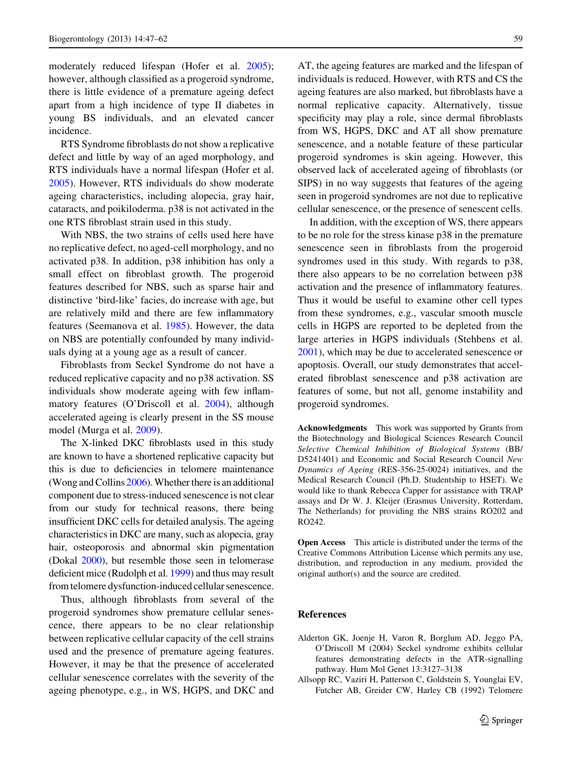<span id="page-12-0"></span>moderately reduced lifespan (Hofer et al. [2005](#page-13-0)); however, although classified as a progeroid syndrome, there is little evidence of a premature ageing defect apart from a high incidence of type II diabetes in young BS individuals, and an elevated cancer incidence.

RTS Syndrome fibroblasts do not show a replicative defect and little by way of an aged morphology, and RTS individuals have a normal lifespan (Hofer et al. [2005\)](#page-13-0). However, RTS individuals do show moderate ageing characteristics, including alopecia, gray hair, cataracts, and poikiloderma. p38 is not activated in the one RTS fibroblast strain used in this study.

With NBS, the two strains of cells used here have no replicative defect, no aged-cell morphology, and no activated p38. In addition, p38 inhibition has only a small effect on fibroblast growth. The progeroid features described for NBS, such as sparse hair and distinctive 'bird-like' facies, do increase with age, but are relatively mild and there are few inflammatory features (Seemanova et al. [1985](#page-14-0)). However, the data on NBS are potentially confounded by many individuals dying at a young age as a result of cancer.

Fibroblasts from Seckel Syndrome do not have a reduced replicative capacity and no p38 activation. SS individuals show moderate ageing with few inflammatory features (O'Driscoll et al. [2004](#page-14-0)), although accelerated ageing is clearly present in the SS mouse model (Murga et al. [2009\)](#page-14-0).

The X-linked DKC fibroblasts used in this study are known to have a shortened replicative capacity but this is due to deficiencies in telomere maintenance (Wong and Collins [2006\)](#page-15-0). Whether there is an additional component due to stress-induced senescence is not clear from our study for technical reasons, there being insufficient DKC cells for detailed analysis. The ageing characteristics in DKC are many, such as alopecia, gray hair, osteoporosis and abnormal skin pigmentation (Dokal [2000](#page-13-0)), but resemble those seen in telomerase deficient mice (Rudolph et al. [1999](#page-14-0)) and thus may result from telomere dysfunction-induced cellular senescence.

Thus, although fibroblasts from several of the progeroid syndromes show premature cellular senescence, there appears to be no clear relationship between replicative cellular capacity of the cell strains used and the presence of premature ageing features. However, it may be that the presence of accelerated cellular senescence correlates with the severity of the ageing phenotype, e.g., in WS, HGPS, and DKC and AT, the ageing features are marked and the lifespan of individuals is reduced. However, with RTS and CS the ageing features are also marked, but fibroblasts have a normal replicative capacity. Alternatively, tissue specificity may play a role, since dermal fibroblasts from WS, HGPS, DKC and AT all show premature senescence, and a notable feature of these particular progeroid syndromes is skin ageing. However, this observed lack of accelerated ageing of fibroblasts (or SIPS) in no way suggests that features of the ageing seen in progeroid syndromes are not due to replicative cellular senescence, or the presence of senescent cells.

In addition, with the exception of WS, there appears to be no role for the stress kinase p38 in the premature senescence seen in fibroblasts from the progeroid syndromes used in this study. With regards to p38, there also appears to be no correlation between p38 activation and the presence of inflammatory features. Thus it would be useful to examine other cell types from these syndromes, e.g., vascular smooth muscle cells in HGPS are reported to be depleted from the large arteries in HGPS individuals (Stehbens et al. [2001\)](#page-14-0), which may be due to accelerated senescence or apoptosis. Overall, our study demonstrates that accelerated fibroblast senescence and p38 activation are features of some, but not all, genome instability and progeroid syndromes.

Acknowledgments This work was supported by Grants from the Biotechnology and Biological Sciences Research Council Selective Chemical Inhibition of Biological Systems (BB/ D5241401) and Economic and Social Research Council New Dynamics of Ageing (RES-356-25-0024) initiatives, and the Medical Research Council (Ph.D. Studentship to HSET). We would like to thank Rebecca Capper for assistance with TRAP assays and Dr W. J. Kleijer (Erasmus University, Rotterdam, The Netherlands) for providing the NBS strains RO202 and RO242.

Open Access This article is distributed under the terms of the Creative Commons Attribution License which permits any use, distribution, and reproduction in any medium, provided the original author(s) and the source are credited.

## References

- Alderton GK, Joenje H, Varon R, Borglum AD, Jeggo PA, O'Driscoll M (2004) Seckel syndrome exhibits cellular features demonstrating defects in the ATR-signalling pathway. Hum Mol Genet 13:3127–3138
- Allsopp RC, Vaziri H, Patterson C, Goldstein S, Younglai EV, Futcher AB, Greider CW, Harley CB (1992) Telomere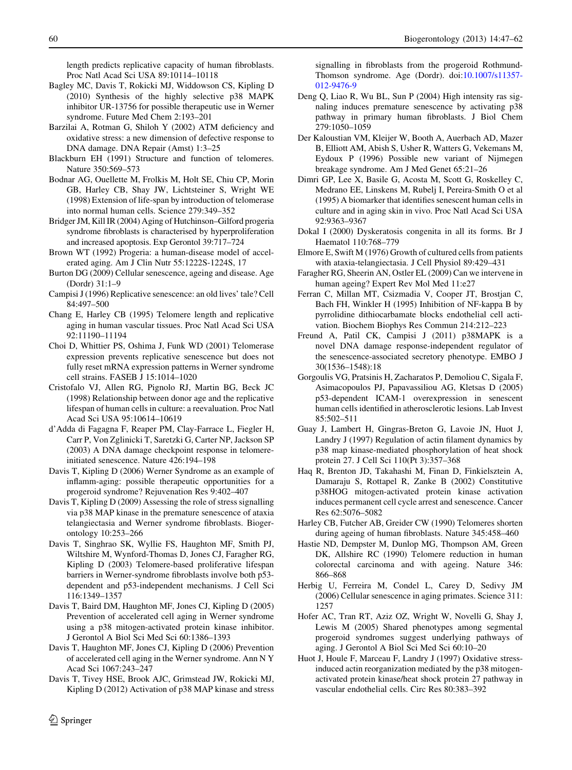<span id="page-13-0"></span>length predicts replicative capacity of human fibroblasts. Proc Natl Acad Sci USA 89:10114–10118

- Bagley MC, Davis T, Rokicki MJ, Widdowson CS, Kipling D (2010) Synthesis of the highly selective p38 MAPK inhibitor UR-13756 for possible therapeutic use in Werner syndrome. Future Med Chem 2:193–201
- Barzilai A, Rotman G, Shiloh Y (2002) ATM deficiency and oxidative stress: a new dimension of defective response to DNA damage. DNA Repair (Amst) 1:3–25
- Blackburn EH (1991) Structure and function of telomeres. Nature 350:569–573
- Bodnar AG, Ouellette M, Frolkis M, Holt SE, Chiu CP, Morin GB, Harley CB, Shay JW, Lichtsteiner S, Wright WE (1998) Extension of life-span by introduction of telomerase into normal human cells. Science 279:349–352
- Bridger JM, Kill IR (2004) Aging of Hutchinson–Gilford progeria syndrome fibroblasts is characterised by hyperproliferation and increased apoptosis. Exp Gerontol 39:717–724
- Brown WT (1992) Progeria: a human-disease model of accelerated aging. Am J Clin Nutr 55:1222S-1224S, 17
- Burton DG (2009) Cellular senescence, ageing and disease. Age (Dordr) 31:1–9
- Campisi J (1996) Replicative senescence: an old lives' tale? Cell 84:497–500
- Chang E, Harley CB (1995) Telomere length and replicative aging in human vascular tissues. Proc Natl Acad Sci USA 92:11190–11194
- Choi D, Whittier PS, Oshima J, Funk WD (2001) Telomerase expression prevents replicative senescence but does not fully reset mRNA expression patterns in Werner syndrome cell strains. FASEB J 15:1014–1020
- Cristofalo VJ, Allen RG, Pignolo RJ, Martin BG, Beck JC (1998) Relationship between donor age and the replicative lifespan of human cells in culture: a reevaluation. Proc Natl Acad Sci USA 95:10614–10619
- d'Adda di Fagagna F, Reaper PM, Clay-Farrace L, Fiegler H, Carr P, Von Zglinicki T, Saretzki G, Carter NP, Jackson SP (2003) A DNA damage checkpoint response in telomereinitiated senescence. Nature 426:194–198
- Davis T, Kipling D (2006) Werner Syndrome as an example of inflamm-aging: possible therapeutic opportunities for a progeroid syndrome? Rejuvenation Res 9:402–407
- Davis T, Kipling D (2009) Assessing the role of stress signalling via p38 MAP kinase in the premature senescence of ataxia telangiectasia and Werner syndrome fibroblasts. Biogerontology 10:253–266
- Davis T, Singhrao SK, Wyllie FS, Haughton MF, Smith PJ, Wiltshire M, Wynford-Thomas D, Jones CJ, Faragher RG, Kipling D (2003) Telomere-based proliferative lifespan barriers in Werner-syndrome fibroblasts involve both p53 dependent and p53-independent mechanisms. J Cell Sci 116:1349–1357
- Davis T, Baird DM, Haughton MF, Jones CJ, Kipling D (2005) Prevention of accelerated cell aging in Werner syndrome using a p38 mitogen-activated protein kinase inhibitor. J Gerontol A Biol Sci Med Sci 60:1386–1393
- Davis T, Haughton MF, Jones CJ, Kipling D (2006) Prevention of accelerated cell aging in the Werner syndrome. Ann N Y Acad Sci 1067:243–247
- Davis T, Tivey HSE, Brook AJC, Grimstead JW, Rokicki MJ, Kipling D (2012) Activation of p38 MAP kinase and stress

signalling in fibroblasts from the progeroid Rothmund-Thomson syndrome. Age (Dordr). doi[:10.1007/s11357-](http://dx.doi.org/10.1007/s11357-012-9476-9) [012-9476-9](http://dx.doi.org/10.1007/s11357-012-9476-9)

- Deng Q, Liao R, Wu BL, Sun P (2004) High intensity ras signaling induces premature senescence by activating p38 pathway in primary human fibroblasts. J Biol Chem 279:1050–1059
- Der Kaloustian VM, Kleijer W, Booth A, Auerbach AD, Mazer B, Elliott AM, Abish S, Usher R, Watters G, Vekemans M, Eydoux P (1996) Possible new variant of Nijmegen breakage syndrome. Am J Med Genet 65:21–26
- Dimri GP, Lee X, Basile G, Acosta M, Scott G, Roskelley C, Medrano EE, Linskens M, Rubelj I, Pereira-Smith O et al (1995) A biomarker that identifies senescent human cells in culture and in aging skin in vivo. Proc Natl Acad Sci USA 92:9363–9367
- Dokal I (2000) Dyskeratosis congenita in all its forms. Br J Haematol 110:768–779
- Elmore E, Swift M (1976) Growth of cultured cells from patients with ataxia-telangiectasia. J Cell Physiol 89:429–431
- Faragher RG, Sheerin AN, Ostler EL (2009) Can we intervene in human ageing? Expert Rev Mol Med 11:e27
- Ferran C, Millan MT, Csizmadia V, Cooper JT, Brostjan C, Bach FH, Winkler H (1995) Inhibition of NF-kappa B by pyrrolidine dithiocarbamate blocks endothelial cell activation. Biochem Biophys Res Commun 214:212–223
- Freund A, Patil CK, Campisi J (2011) p38MAPK is a novel DNA damage response-independent regulator of the senescence-associated secretory phenotype. EMBO J 30(1536–1548):18
- Gorgoulis VG, Pratsinis H, Zacharatos P, Demoliou C, Sigala F, Asimacopoulos PJ, Papavassiliou AG, Kletsas D (2005) p53-dependent ICAM-1 overexpression in senescent human cells identified in atherosclerotic lesions. Lab Invest 85:502–511
- Guay J, Lambert H, Gingras-Breton G, Lavoie JN, Huot J, Landry J (1997) Regulation of actin filament dynamics by p38 map kinase-mediated phosphorylation of heat shock protein 27. J Cell Sci 110(Pt 3):357–368
- Haq R, Brenton JD, Takahashi M, Finan D, Finkielsztein A, Damaraju S, Rottapel R, Zanke B (2002) Constitutive p38HOG mitogen-activated protein kinase activation induces permanent cell cycle arrest and senescence. Cancer Res 62:5076–5082
- Harley CB, Futcher AB, Greider CW (1990) Telomeres shorten during ageing of human fibroblasts. Nature 345:458–460
- Hastie ND, Dempster M, Dunlop MG, Thompson AM, Green DK, Allshire RC (1990) Telomere reduction in human colorectal carcinoma and with ageing. Nature 346: 866–868
- Herbig U, Ferreira M, Condel L, Carey D, Sedivy JM (2006) Cellular senescence in aging primates. Science 311: 1257
- Hofer AC, Tran RT, Aziz OZ, Wright W, Novelli G, Shay J, Lewis M (2005) Shared phenotypes among segmental progeroid syndromes suggest underlying pathways of aging. J Gerontol A Biol Sci Med Sci 60:10–20
- Huot J, Houle F, Marceau F, Landry J (1997) Oxidative stressinduced actin reorganization mediated by the p38 mitogenactivated protein kinase/heat shock protein 27 pathway in vascular endothelial cells. Circ Res 80:383–392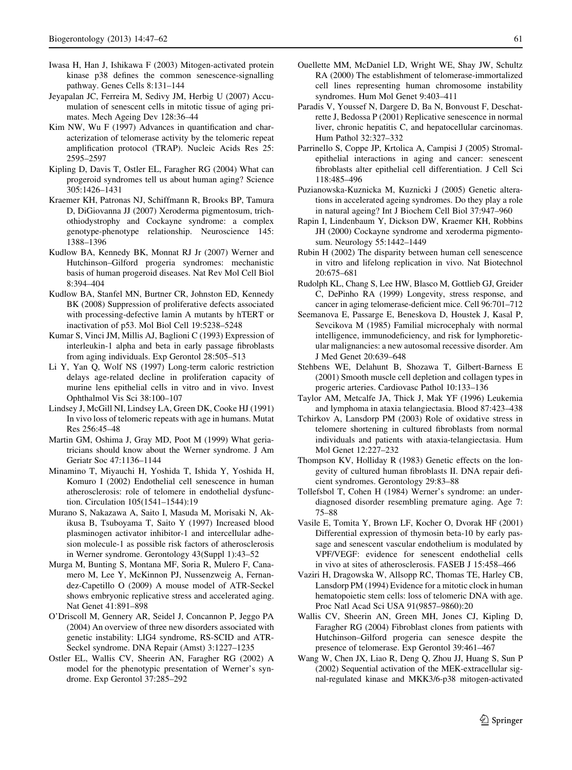- <span id="page-14-0"></span>Iwasa H, Han J, Ishikawa F (2003) Mitogen-activated protein kinase p38 defines the common senescence-signalling pathway. Genes Cells 8:131–144
- Jeyapalan JC, Ferreira M, Sedivy JM, Herbig U (2007) Accumulation of senescent cells in mitotic tissue of aging primates. Mech Ageing Dev 128:36–44
- Kim NW, Wu F (1997) Advances in quantification and characterization of telomerase activity by the telomeric repeat amplification protocol (TRAP). Nucleic Acids Res 25: 2595–2597
- Kipling D, Davis T, Ostler EL, Faragher RG (2004) What can progeroid syndromes tell us about human aging? Science 305:1426–1431
- Kraemer KH, Patronas NJ, Schiffmann R, Brooks BP, Tamura D, DiGiovanna JJ (2007) Xeroderma pigmentosum, trichothiodystrophy and Cockayne syndrome: a complex genotype-phenotype relationship. Neuroscience 145: 1388–1396
- Kudlow BA, Kennedy BK, Monnat RJ Jr (2007) Werner and Hutchinson–Gilford progeria syndromes: mechanistic basis of human progeroid diseases. Nat Rev Mol Cell Biol 8:394–404
- Kudlow BA, Stanfel MN, Burtner CR, Johnston ED, Kennedy BK (2008) Suppression of proliferative defects associated with processing-defective lamin A mutants by hTERT or inactivation of p53. Mol Biol Cell 19:5238–5248
- Kumar S, Vinci JM, Millis AJ, Baglioni C (1993) Expression of interleukin-1 alpha and beta in early passage fibroblasts from aging individuals. Exp Gerontol 28:505–513
- Li Y, Yan Q, Wolf NS (1997) Long-term caloric restriction delays age-related decline in proliferation capacity of murine lens epithelial cells in vitro and in vivo. Invest Ophthalmol Vis Sci 38:100–107
- Lindsey J, McGill NI, Lindsey LA, Green DK, Cooke HJ (1991) In vivo loss of telomeric repeats with age in humans. Mutat Res 256:45–48
- Martin GM, Oshima J, Gray MD, Poot M (1999) What geriatricians should know about the Werner syndrome. J Am Geriatr Soc 47:1136–1144
- Minamino T, Miyauchi H, Yoshida T, Ishida Y, Yoshida H, Komuro I (2002) Endothelial cell senescence in human atherosclerosis: role of telomere in endothelial dysfunction. Circulation 105(1541–1544):19
- Murano S, Nakazawa A, Saito I, Masuda M, Morisaki N, Akikusa B, Tsuboyama T, Saito Y (1997) Increased blood plasminogen activator inhibitor-1 and intercellular adhesion molecule-1 as possible risk factors of atherosclerosis in Werner syndrome. Gerontology 43(Suppl 1):43–52
- Murga M, Bunting S, Montana MF, Soria R, Mulero F, Canamero M, Lee Y, McKinnon PJ, Nussenzweig A, Fernandez-Capetillo O (2009) A mouse model of ATR-Seckel shows embryonic replicative stress and accelerated aging. Nat Genet 41:891–898
- O'Driscoll M, Gennery AR, Seidel J, Concannon P, Jeggo PA (2004) An overview of three new disorders associated with genetic instability: LIG4 syndrome, RS-SCID and ATR-Seckel syndrome. DNA Repair (Amst) 3:1227–1235
- Ostler EL, Wallis CV, Sheerin AN, Faragher RG (2002) A model for the phenotypic presentation of Werner's syndrome. Exp Gerontol 37:285–292
- Ouellette MM, McDaniel LD, Wright WE, Shay JW, Schultz RA (2000) The establishment of telomerase-immortalized cell lines representing human chromosome instability syndromes. Hum Mol Genet 9:403–411
- Paradis V, Youssef N, Dargere D, Ba N, Bonvoust F, Deschatrette J, Bedossa P (2001) Replicative senescence in normal liver, chronic hepatitis C, and hepatocellular carcinomas. Hum Pathol 32:327–332
- Parrinello S, Coppe JP, Krtolica A, Campisi J (2005) Stromalepithelial interactions in aging and cancer: senescent fibroblasts alter epithelial cell differentiation. J Cell Sci 118:485–496
- Puzianowska-Kuznicka M, Kuznicki J (2005) Genetic alterations in accelerated ageing syndromes. Do they play a role in natural ageing? Int J Biochem Cell Biol 37:947–960
- Rapin I, Lindenbaum Y, Dickson DW, Kraemer KH, Robbins JH (2000) Cockayne syndrome and xeroderma pigmentosum. Neurology 55:1442–1449
- Rubin H (2002) The disparity between human cell senescence in vitro and lifelong replication in vivo. Nat Biotechnol 20:675–681
- Rudolph KL, Chang S, Lee HW, Blasco M, Gottlieb GJ, Greider C, DePinho RA (1999) Longevity, stress response, and cancer in aging telomerase-deficient mice. Cell 96:701–712
- Seemanova E, Passarge E, Beneskova D, Houstek J, Kasal P, Sevcikova M (1985) Familial microcephaly with normal intelligence, immunodeficiency, and risk for lymphoreticular malignancies: a new autosomal recessive disorder. Am J Med Genet 20:639–648
- Stehbens WE, Delahunt B, Shozawa T, Gilbert-Barness E (2001) Smooth muscle cell depletion and collagen types in progeric arteries. Cardiovasc Pathol 10:133–136
- Taylor AM, Metcalfe JA, Thick J, Mak YF (1996) Leukemia and lymphoma in ataxia telangiectasia. Blood 87:423–438
- Tchirkov A, Lansdorp PM (2003) Role of oxidative stress in telomere shortening in cultured fibroblasts from normal individuals and patients with ataxia-telangiectasia. Hum Mol Genet 12:227–232
- Thompson KV, Holliday R (1983) Genetic effects on the longevity of cultured human fibroblasts II. DNA repair deficient syndromes. Gerontology 29:83–88
- Tollefsbol T, Cohen H (1984) Werner's syndrome: an underdiagnosed disorder resembling premature aging. Age 7: 75–88
- Vasile E, Tomita Y, Brown LF, Kocher O, Dvorak HF (2001) Differential expression of thymosin beta-10 by early passage and senescent vascular endothelium is modulated by VPF/VEGF: evidence for senescent endothelial cells in vivo at sites of atherosclerosis. FASEB J 15:458–466
- Vaziri H, Dragowska W, Allsopp RC, Thomas TE, Harley CB, Lansdorp PM (1994) Evidence for a mitotic clock in human hematopoietic stem cells: loss of telomeric DNA with age. Proc Natl Acad Sci USA 91(9857–9860):20
- Wallis CV, Sheerin AN, Green MH, Jones CJ, Kipling D, Faragher RG (2004) Fibroblast clones from patients with Hutchinson–Gilford progeria can senesce despite the presence of telomerase. Exp Gerontol 39:461–467
- Wang W, Chen JX, Liao R, Deng Q, Zhou JJ, Huang S, Sun P (2002) Sequential activation of the MEK-extracellular signal-regulated kinase and MKK3/6-p38 mitogen-activated